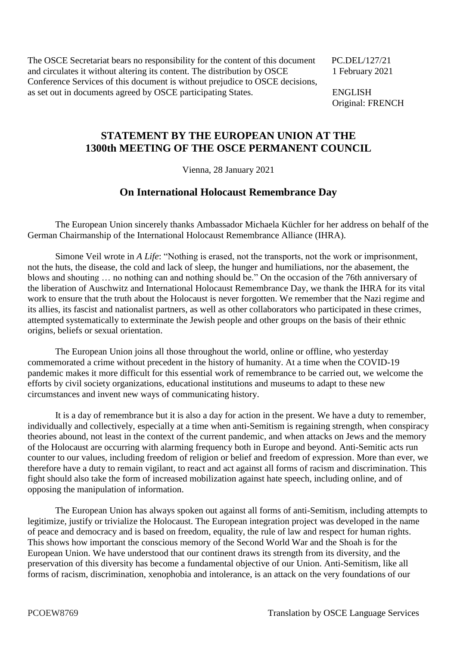The OSCE Secretariat bears no responsibility for the content of this document PC.DEL/127/21 and circulates it without altering its content. The distribution by OSCE 1 February 2021 Conference Services of this document is without prejudice to OSCE decisions, as set out in documents agreed by OSCE participating States. ENGLISH

Original: FRENCH

## **STATEMENT BY THE EUROPEAN UNION AT THE 1300th MEETING OF THE OSCE PERMANENT COUNCIL**

Vienna, 28 January 2021

## **On International Holocaust Remembrance Day**

The European Union sincerely thanks Ambassador Michaela Küchler for her address on behalf of the German Chairmanship of the International Holocaust Remembrance Alliance (IHRA).

Simone Veil wrote in *A Life*: "Nothing is erased, not the transports, not the work or imprisonment, not the huts, the disease, the cold and lack of sleep, the hunger and humiliations, nor the abasement, the blows and shouting … no nothing can and nothing should be." On the occasion of the 76th anniversary of the liberation of Auschwitz and International Holocaust Remembrance Day, we thank the IHRA for its vital work to ensure that the truth about the Holocaust is never forgotten. We remember that the Nazi regime and its allies, its fascist and nationalist partners, as well as other collaborators who participated in these crimes, attempted systematically to exterminate the Jewish people and other groups on the basis of their ethnic origins, beliefs or sexual orientation.

The European Union joins all those throughout the world, online or offline, who yesterday commemorated a crime without precedent in the history of humanity. At a time when the COVID-19 pandemic makes it more difficult for this essential work of remembrance to be carried out, we welcome the efforts by civil society organizations, educational institutions and museums to adapt to these new circumstances and invent new ways of communicating history.

It is a day of remembrance but it is also a day for action in the present. We have a duty to remember, individually and collectively, especially at a time when anti-Semitism is regaining strength, when conspiracy theories abound, not least in the context of the current pandemic, and when attacks on Jews and the memory of the Holocaust are occurring with alarming frequency both in Europe and beyond. Anti-Semitic acts run counter to our values, including freedom of religion or belief and freedom of expression. More than ever, we therefore have a duty to remain vigilant, to react and act against all forms of racism and discrimination. This fight should also take the form of increased mobilization against hate speech, including online, and of opposing the manipulation of information.

The European Union has always spoken out against all forms of anti-Semitism, including attempts to legitimize, justify or trivialize the Holocaust. The European integration project was developed in the name of peace and democracy and is based on freedom, equality, the rule of law and respect for human rights. This shows how important the conscious memory of the Second World War and the Shoah is for the European Union. We have understood that our continent draws its strength from its diversity, and the preservation of this diversity has become a fundamental objective of our Union. Anti-Semitism, like all forms of racism, discrimination, xenophobia and intolerance, is an attack on the very foundations of our